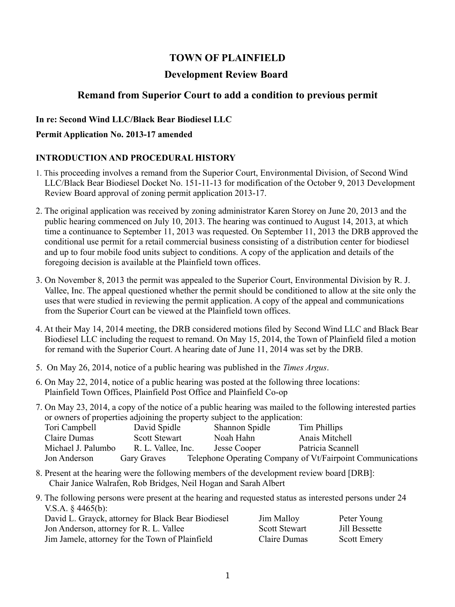# **TOWN OF PLAINFIELD**

## **Development Review Board**

## **Remand from Superior Court to add a condition to previous permit**

### **In re: Second Wind LLC/Black Bear Biodiesel LLC**

#### **Permit Application No. 2013-17 amended**

## **INTRODUCTION AND PROCEDURAL HISTORY**

- 1. This proceeding involves a remand from the Superior Court, Environmental Division, of Second Wind LLC/Black Bear Biodiesel Docket No. 151-11-13 for modification of the October 9, 2013 Development Review Board approval of zoning permit application 2013-17.
- 2. The original application was received by zoning administrator Karen Storey on June 20, 2013 and the public hearing commenced on July 10, 2013. The hearing was continued to August 14, 2013, at which time a continuance to September 11, 2013 was requested. On September 11, 2013 the DRB approved the conditional use permit for a retail commercial business consisting of a distribution center for biodiesel and up to four mobile food units subject to conditions. A copy of the application and details of the foregoing decision is available at the Plainfield town offices.
- 3. On November 8, 2013 the permit was appealed to the Superior Court, Environmental Division by R. J. Vallee, Inc. The appeal questioned whether the permit should be conditioned to allow at the site only the uses that were studied in reviewing the permit application. A copy of the appeal and communications from the Superior Court can be viewed at the Plainfield town offices.
- 4. At their May 14, 2014 meeting, the DRB considered motions filed by Second Wind LLC and Black Bear Biodiesel LLC including the request to remand. On May 15, 2014, the Town of Plainfield filed a motion for remand with the Superior Court. A hearing date of June 11, 2014 was set by the DRB.
- 5. On May 26, 2014, notice of a public hearing was published in the *Times Argus*.
- 6. On May 22, 2014, notice of a public hearing was posted at the following three locations: Plainfield Town Offices, Plainfield Post Office and Plainfield Co-op
- 7. On May 23, 2014, a copy of the notice of a public hearing was mailed to the following interested parties or owners of properties adjoining the property subject to the application:

| Tori Campbell      | David Spidle         | Shannon Spidle | Tim Phillips                                               |
|--------------------|----------------------|----------------|------------------------------------------------------------|
| Claire Dumas       | <b>Scott Stewart</b> | Noah Hahn      | Anais Mitchell                                             |
| Michael J. Palumbo | R. L. Vallee, Inc.   | Jesse Cooper   | Patricia Scannell                                          |
| Jon Anderson       | Gary Graves          |                | Telephone Operating Company of Vt/Fairpoint Communications |

- 8. Present at the hearing were the following members of the development review board [DRB]: Chair Janice Walrafen, Rob Bridges, Neil Hogan and Sarah Albert
- 9. The following persons were present at the hearing and requested status as interested persons under 24 V.S.A. § 4465(b):

| David L. Grayck, attorney for Black Bear Biodiesel | Jim Malloy           | Peter Young        |
|----------------------------------------------------|----------------------|--------------------|
| Jon Anderson, attorney for R. L. Vallee            | <b>Scott Stewart</b> | Jill Bessette      |
| Jim Jamele, attorney for the Town of Plainfield    | Claire Dumas         | <b>Scott Emery</b> |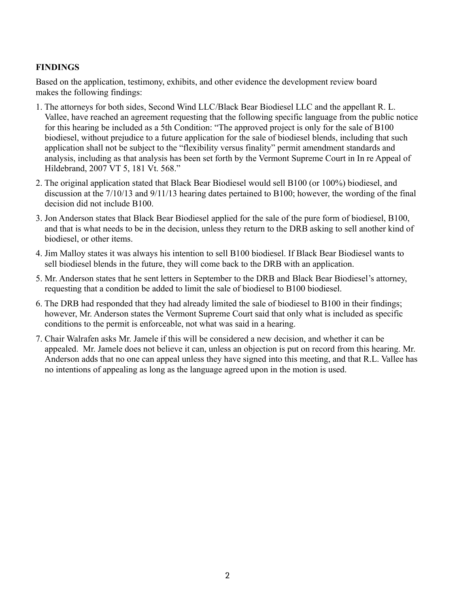## **FINDINGS**

Based on the application, testimony, exhibits, and other evidence the development review board makes the following findings:

- 1. The attorneys for both sides, Second Wind LLC/Black Bear Biodiesel LLC and the appellant R. L. Vallee, have reached an agreement requesting that the following specific language from the public notice for this hearing be included as a 5th Condition: "The approved project is only for the sale of B100 biodiesel, without prejudice to a future application for the sale of biodiesel blends, including that such application shall not be subject to the "flexibility versus finality" permit amendment standards and analysis, including as that analysis has been set forth by the Vermont Supreme Court in In re Appeal of Hildebrand, 2007 VT 5, 181 Vt. 568."
- 2. The original application stated that Black Bear Biodiesel would sell B100 (or 100%) biodiesel, and discussion at the 7/10/13 and 9/11/13 hearing dates pertained to B100; however, the wording of the final decision did not include B100.
- 3. Jon Anderson states that Black Bear Biodiesel applied for the sale of the pure form of biodiesel, B100, and that is what needs to be in the decision, unless they return to the DRB asking to sell another kind of biodiesel, or other items.
- 4. Jim Malloy states it was always his intention to sell B100 biodiesel. If Black Bear Biodiesel wants to sell biodiesel blends in the future, they will come back to the DRB with an application.
- 5. Mr. Anderson states that he sent letters in September to the DRB and Black Bear Biodiesel's attorney, requesting that a condition be added to limit the sale of biodiesel to B100 biodiesel.
- 6. The DRB had responded that they had already limited the sale of biodiesel to B100 in their findings; however, Mr. Anderson states the Vermont Supreme Court said that only what is included as specific conditions to the permit is enforceable, not what was said in a hearing.
- 7. Chair Walrafen asks Mr. Jamele if this will be considered a new decision, and whether it can be appealed. Mr. Jamele does not believe it can, unless an objection is put on record from this hearing. Mr. Anderson adds that no one can appeal unless they have signed into this meeting, and that R.L. Vallee has no intentions of appealing as long as the language agreed upon in the motion is used.